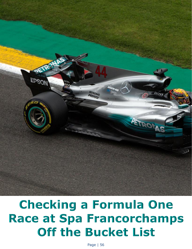

## **Checking a Formula One Race at Spa Francorchamps** Off the Bucket List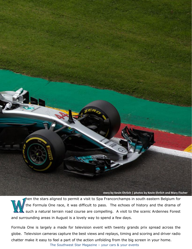

**story by Kevin Ehrlich | photos by Kevin Ehrlich and Mary Fischer**

hen the stars aligned to permit a visit to Spa Francorchamps in south eastern Belgium for the Formula One race, it was difficult to pass. The echoes of history and the drama of such a natural terrain road course are compelling. A visit to the scenic Ardennes Forest and surrounding areas in August is a lovely way to spend a few days.

Formula One is largely a made for television event with twenty grands prix spread across the globe. Television cameras capture the best views and replays, timing and scoring and driver radio chatter make it easy to feel a part of the action unfolding from the big screen in your home.

The Southwest Star Magazine – your cars & your events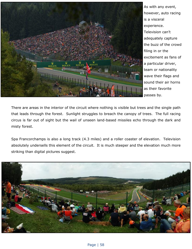

As with any event, however, auto racing is a visceral experience. Television can't adequately capture the buzz of the crowd filing in or the excitement as fans of a particular driver, team or nationality wave their flags and sound their air horns as their favorite passes by.

There are areas in the interior of the circuit where nothing is visible but trees and the single path that leads through the forest. Sunlight struggles to breach the canopy of trees. The full racing circus is far out of sight but the wail of unseen land-based missiles echo through the dark and misty forest.

Spa Francorchamps is also a long track (4.3 miles) and a roller coaster of elevation. Television absolutely undersells this element of the circuit. It is much steeper and the elevation much more striking than digital pictures suggest.

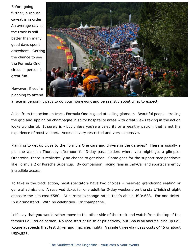Before going further, a robust caveat is in order. An average day at the track is still better than many good days spent elsewhere. Getting the chance to see the Formula One circus in person is great fun.

However, if you're planning to attend



a race in person, it pays to do your homework and be realistic about what to expect.

Aside from the action on track, Formula One is good at selling glamour. Beautiful people strolling the grid and sipping on champagne in spiffy hospitality areas with great views taking in the action looks wonderful. It surely is - but unless you're a celebrity or a wealthy patron, that is not the experience of most visitors. Access is very restricted and very expensive.

Planning to get up close to the Formula One cars and drivers in the garages? There is usually a pit lane walk on Thursday afternoon for 3-day pass holders where you might get a glimpse. Otherwise, there is realistically no chance to get close. Same goes for the support race paddocks like Formula 2 or Porsche Supercup. By comparison, racing fans in IndyCar and sportscars enjoy incredible access.

To take in the track action, most spectators have two choices – reserved grandstand seating or general admission. A reserved ticket for one adult for 3-day weekend on the start/finish straight opposite the pits cost €580. At current exchange rates, that's about USD\$683. For one ticket. In a grandstand. With no celebrities. Or champagne.

Let's say that you would rather move to the other side of the track and watch from the top of the famous Eau Rouge corner. No race start or finish or pit activity, but Spa is all about slicing up Eau Rouge at speeds that test driver and machine, right? A single three-day pass costs €445 or about USD\$523.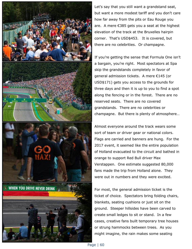

Let's say that you still want a grandstand seat, but want a more modest tariff and you don't care how far away from the pits or Eau Rouge you are. A mere €385 gets you a seat at the highest elevation of the track at the Bruxelles hairpin corner. That's USD\$453. It is covered, but there are no celebrities. Or champagne.

If you're getting the sense that Formula One isn't a bargain, you're right. Most spectators at Spa skip the grandstands completely in favor of general admission tickets. A mere €145 (or USD\$171) gets you access to the grounds for three days and then it is up to you to find a spot along the fencing or in the forest. There are no reserved seats. There are no covered grandstands. There are no celebrities or champagne. But there is plenty of atmosphere…

Almost everyone around the track wears some sort of team or driver gear or national colors. Flags are carried and banners are hung. For the 2017 event, it seemed like the entire population of Holland evacuated to the circuit and bathed in orange to support Red Bull driver Max Verstappen. One estimate suggested 80,000 fans made the trip from Holland alone. They were out in numbers and they were excited.

For most, the general admission ticket is the ticket of choice. Spectators bring folding chairs, blankets, seating cushions or just sit on the ground. Steeper hillsides have been carved to create small ledges to sit or stand. In a few cases, creative fans built temporary tree houses or strung hammocks between trees. As you might imagine, the rain makes some seating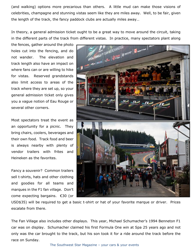(and walking) options more precarious than others. A little mud can make those visions of celebrities, champagne and stunning vistas seem like they are miles away. Well, to be fair, given the length of the track, the fancy paddock clubs are actually miles away…

In theory, a general admission ticket ought to be a great way to move around the circuit, taking in the different parts of the track from different vistas. In practice, many spectators plant along

the fences, gather around the photo holes cut into the fencing, and do not wander. The elevation and track length also have an impact on where fans can or are willing to hike for vistas. Reserved grandstands also limit access to areas of the track where they are set up, so your general admission ticket only gives you a vague notion of Eau Rouge or several other corners.

Most spectators treat the event as an opportunity for a picnic. They bring chairs, coolers, beverages and their own food. Track food and beer is always nearby with plenty of vendor trailers with frites and Heineken as the favorites.

Fancy a souvenir? Common trailers sell t-shirts, hats and other clothing and goodies for all teams and marques in the F1 fan village. Don't come expecting bargains. €30 (or



USD\$35) will be required to get a basic t-shirt or hat of your favorite marque or driver. Prices escalate from there.

The Fan Village also includes other displays. This year, Michael Schumacher's 1994 Benneton F1 car was on display. Schumacher claimed his first Formula One win at Spa 25 years ago and not only was the car brought to the track, but his son took it for a ride around the track before the race on Sunday.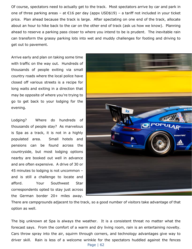Of course, spectators need to actually get to the track. Most spectators arrive by car and park in one of three parking areas – at  $\epsilon$ 16 per day (appx USD\$19) – a tariff not included in your ticket price. Plan ahead because the track is large. After spectating on one end of the track, allocate about an hour to hike back to the car on the other end of track (ask us how we know). Planning ahead to reserve a parking pass closer to where you intend to be is prudent. The inevitable rain can transform the grassy parking lots into wet and muddy challenges for footing and driving to get out to pavement.

Arrive early and plan on taking some time with traffic on the way out. Hundreds of thousands of people exiting via small country roads where the local police have closed off various streets is a recipe for long waits and exiting in a direction that may be opposite of where you're trying to go to get back to your lodging for the evening.

Lodging? Where do hundreds of thousands of people stay? As marvelous is Spa as a track, it is not in a highly populated area. Small hotels and pensions can be found across the countryside, but most lodging options nearby are booked out well in advance and are often expensive. A drive of 30 or 45 minutes to lodging is not uncommon – and is still a challenge to locate and afford. Your Southwest Star correspondents opted to stay just across the German border 20+ miles away.



There are campgrounds adjacent to the track, so a good number of visitors take advantage of that option as well.

The big unknown at Spa is always the weather. It is a consistent threat no matter what the forecast says. From the comfort of a warm and dry living room, rain is an entertaining novelty. Cars throw spray into the air, squirm through corners, and technology advantages give way to driver skill. Rain is less of a welcome wrinkle for the spectators huddled against the fences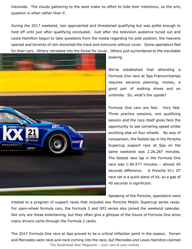trackside. The clouds gathering to the west make no effort to hide their intentions, so the only question is when rather than if.

During the 2017 weekend, rain approached and threatened qualifying but was polite enough to hold off until just after qualifying concluded. Just after the television audience tuned out and Lewis Hamilton begun to take questions from the media regarding his pole position, the heavens opened and torrents of rain drenched the track and everyone without cover. Some spectators fled for their cars. Others retreated into the forest for cover. Others just surrendered to the inevitable



soaking.

We've established that attending a Formula One race at Spa Francorchamps requires advance planning, money, a good pair of walking shoes and an umbrella. So, what's the upside?

Formula One cars are fast. Very fast. Three practice sessions, one qualifying session and the race itself gives fans the opportunity to see cornering speed unlike anything else on four wheels. By way of comparison, the fastest lap in the Porsche Supercup support race at Spa on the same weekend was 2.26.287 minutes. The fastest race lap in the Formula One race was 1:46.577 minutes – almost 40 seconds difference. A Porsche 911 GT race car is a quick piece of kit, so a gap of 40 seconds is significant.

Speaking of the Porsche, spectators were

treated to a program of support races that included two Porsche Mobil1 Supercup series races. For open-wheel formula cars, the Formula 2 and GP3 series also joined the weekend calendar. Not only are these entertaining, but they often give a glimpse of the future of Formula One since many drivers come through the Formula 2 ranks.

The Southwest Star Magazine – your cars & your events The 2017 Formula One race at Spa proved to be a critical inflection point in the season. Ferrari and Mercedes were neck and neck coming into the race, but Mercedes and Lewis Hamilton claimed